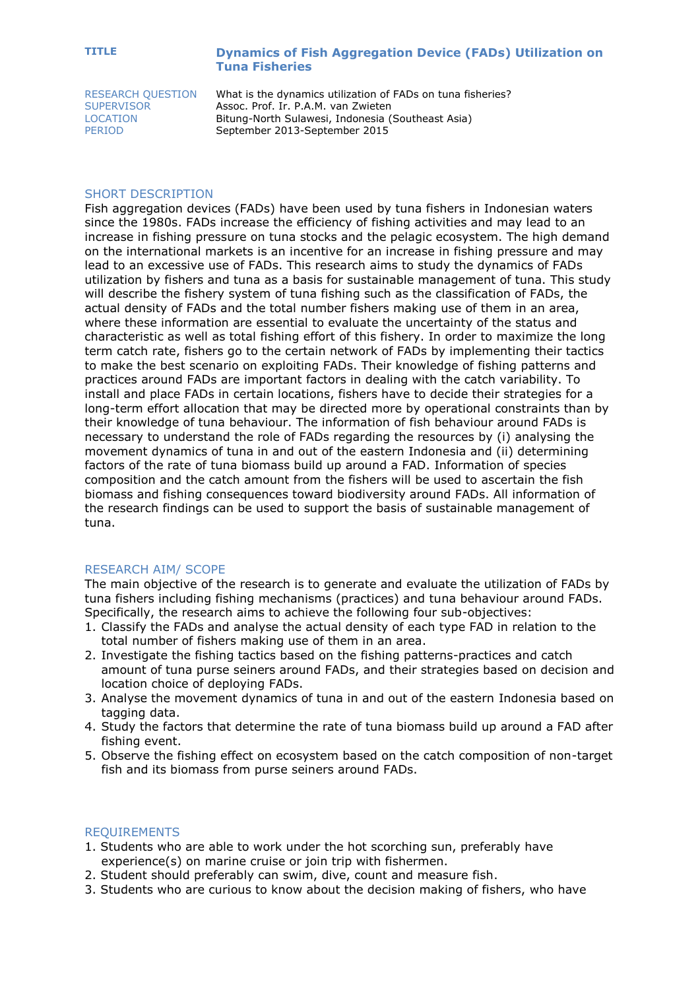## **TITLE Dynamics of Fish Aggregation Device (FADs) Utilization on Tuna Fisheries**

RESEARCH QUESTION What is the dynamics utilization of FADs on tuna fisheries?<br>SUPERVISOR Assoc. Prof. Ir. P.A.M. van Zwieten Assoc. Prof. Ir. P.A.M. van Zwieten LOCATION Bitung-North Sulawesi, Indonesia (Southeast Asia) PERIOD September 2013-September 2015

### SHORT DESCRIPTION

Fish aggregation devices (FADs) have been used by tuna fishers in Indonesian waters since the 1980s. FADs increase the efficiency of fishing activities and may lead to an increase in fishing pressure on tuna stocks and the pelagic ecosystem. The high demand on the international markets is an incentive for an increase in fishing pressure and may lead to an excessive use of FADs. This research aims to study the dynamics of FADs utilization by fishers and tuna as a basis for sustainable management of tuna. This study will describe the fishery system of tuna fishing such as the classification of FADs, the actual density of FADs and the total number fishers making use of them in an area, where these information are essential to evaluate the uncertainty of the status and characteristic as well as total fishing effort of this fishery. In order to maximize the long term catch rate, fishers go to the certain network of FADs by implementing their tactics to make the best scenario on exploiting FADs. Their knowledge of fishing patterns and practices around FADs are important factors in dealing with the catch variability. To install and place FADs in certain locations, fishers have to decide their strategies for a long-term effort allocation that may be directed more by operational constraints than by their knowledge of tuna behaviour. The information of fish behaviour around FADs is necessary to understand the role of FADs regarding the resources by (i) analysing the movement dynamics of tuna in and out of the eastern Indonesia and (ii) determining factors of the rate of tuna biomass build up around a FAD. Information of species composition and the catch amount from the fishers will be used to ascertain the fish biomass and fishing consequences toward biodiversity around FADs. All information of the research findings can be used to support the basis of sustainable management of tuna.

#### RESEARCH AIM/ SCOPE

The main objective of the research is to generate and evaluate the utilization of FADs by tuna fishers including fishing mechanisms (practices) and tuna behaviour around FADs. Specifically, the research aims to achieve the following four sub-objectives:

- 1. Classify the FADs and analyse the actual density of each type FAD in relation to the total number of fishers making use of them in an area.
- 2. Investigate the fishing tactics based on the fishing patterns-practices and catch amount of tuna purse seiners around FADs, and their strategies based on decision and location choice of deploying FADs.
- 3. Analyse the movement dynamics of tuna in and out of the eastern Indonesia based on tagging data.
- 4. Study the factors that determine the rate of tuna biomass build up around a FAD after fishing event.
- 5. Observe the fishing effect on ecosystem based on the catch composition of non-target fish and its biomass from purse seiners around FADs.

#### REQUIREMENTS

- 1. Students who are able to work under the hot scorching sun, preferably have experience(s) on marine cruise or join trip with fishermen.
- 2. Student should preferably can swim, dive, count and measure fish.
- 3. Students who are curious to know about the decision making of fishers, who have